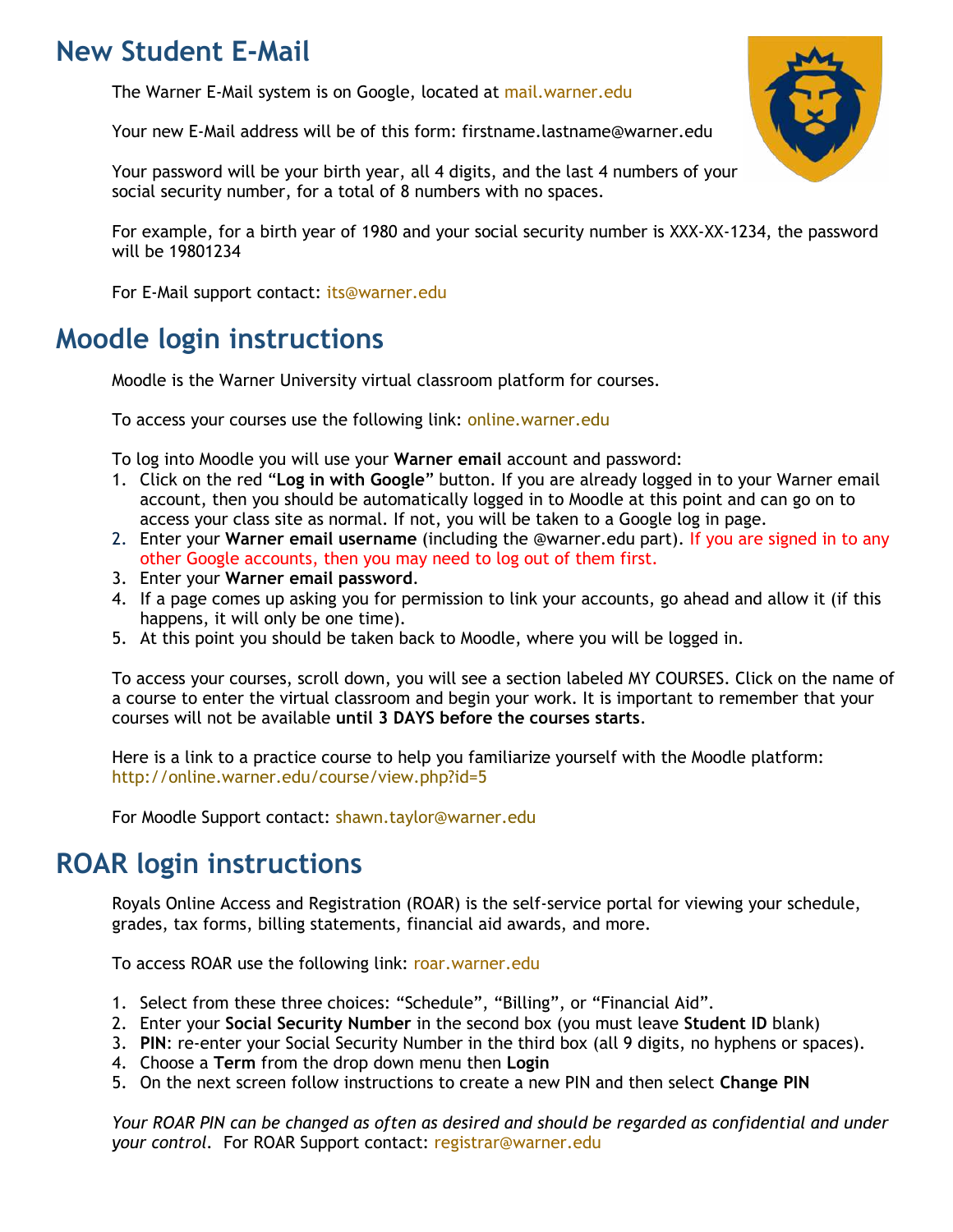## **New Student E-Mail**

The Warner E-Mail system is on Google, located at [mail.warner.edu](http://mail.warner.edu/)

Your new E-Mail address will be of this form: firstname.lastname@warner.edu

Your password will be your birth year, all 4 digits, and the last 4 numbers of your social security number, for a total of 8 numbers with no spaces.

For example, for a birth year of 1980 and your social security number is XXX-XX-1234, the password will be 19801234

For E-Mail support contact: [its@warner.edu](mailto:its@warner.edu)

### **Moodle login instructions**

Moodle is the Warner University virtual classroom platform for courses.

To access your courses use the following link: [online.warner.edu](file://///D888Sfs2/Share/Registrar/Registrar%20Office%20Shared%20Docs/FORMS/online.warner.edu) 

To log into Moodle you will use your **Warner email** account and password:

- 1. Click on the red "**Log in with Google**" button. If you are already logged in to your Warner email account, then you should be automatically logged in to Moodle at this point and can go on to access your class site as normal. If not, you will be taken to a Google log in page.
- 2. Enter your **Warner email username** (including the @warner.edu part). If you are signed in to any other Google accounts, then you may need to log out of them first.
- 3. Enter your **Warner email password**.
- 4. If a page comes up asking you for permission to link your accounts, go ahead and allow it (if this happens, it will only be one time).
- 5. At this point you should be taken back to Moodle, where you will be logged in.

To access your courses, scroll down, you will see a section labeled MY COURSES. Click on the name of a course to enter the virtual classroom and begin your work. It is important to remember that your courses will not be available **until 3 DAYS before the courses starts**.

Here is a link to a practice course to help you familiarize yourself with the Moodle platform: <http://online.warner.edu/course/view.php?id=5>

For Moodle Support contact: [shawn.taylor@warner.edu](mailto:shawn.taylor@warner.edu) 

# **ROAR login instructions**

Royals Online Access and Registration (ROAR) is the self-service portal for viewing your schedule, grades, tax forms, billing statements, financial aid awards, and more.

To access ROAR use the following link: [roar.warner.edu](file:///C:/Users/sara.kane/Downloads/roar.warner.edu)

- 1. Select from these three choices: "Schedule", "Billing", or "Financial Aid".
- 2. Enter your **Social Security Number** in the second box (you must leave **Student ID** blank)
- 3. **PIN**: re-enter your Social Security Number in the third box (all 9 digits, no hyphens or spaces).
- 4. Choose a **Term** from the drop down menu then **Login**
- 5. On the next screen follow instructions to create a new PIN and then select **Change PIN**

*Your ROAR PIN can be changed as often as desired and should be regarded as confidential and under your control.* For ROAR Support contact: [registrar@warner.edu](mailto:registrar@warner.edu)